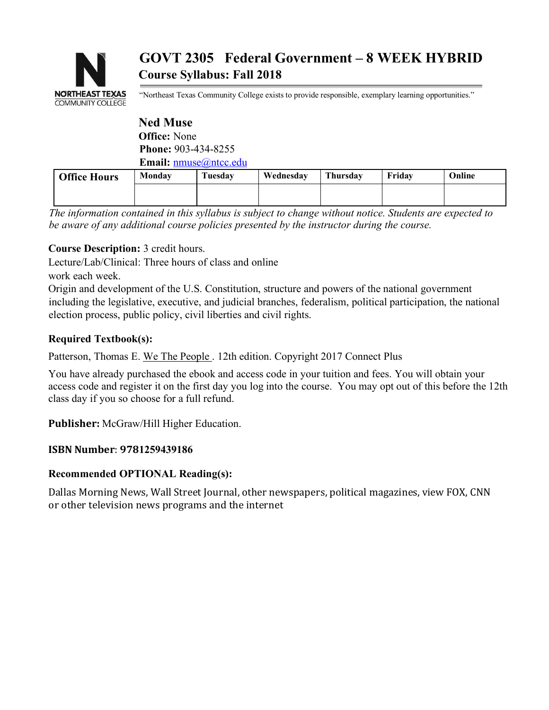

# **GOVT 2305 Federal Government – 8 WEEK HYBRID Course Syllabus: Fall 2018**

"Northeast Texas Community College exists to provide responsible, exemplary learning opportunities."

#### **Ned Muse Office:** None **Phone:** 903-434-8255 **Email:** nmuse@ntcc.edu

| <b>Office Hours</b> | Monday | Tuesday | Wednesday | Thursday | Fridav | Online |
|---------------------|--------|---------|-----------|----------|--------|--------|
|                     |        |         |           |          |        |        |
|                     |        |         |           |          |        |        |

*The information contained in this syllabus is subject to change without notice. Students are expected to be aware of any additional course policies presented by the instructor during the course.*

# **Course Description:** 3 credit hours.

Lecture/Lab/Clinical: Three hours of class and online

work each week.

Origin and development of the U.S. Constitution, structure and powers of the national government including the legislative, executive, and judicial branches, federalism, political participation, the national election process, public policy, civil liberties and civil rights.

## **Required Textbook(s):**

Patterson, Thomas E. We The People . 12th edition. Copyright 2017 Connect Plus

You have already purchased the ebook and access code in your tuition and fees. You will obtain your access code and register it on the first day you log into the course. You may opt out of this before the 12th class day if you so choose for a full refund.

Publisher: McGraw/Hill Higher Education.

#### **ISBN Number**: **9781259439186**

#### **Recommended OPTIONAL Reading(s):**

Dallas Morning News, Wall Street Journal, other newspapers, political magazines, view FOX, CNN or other television news programs and the internet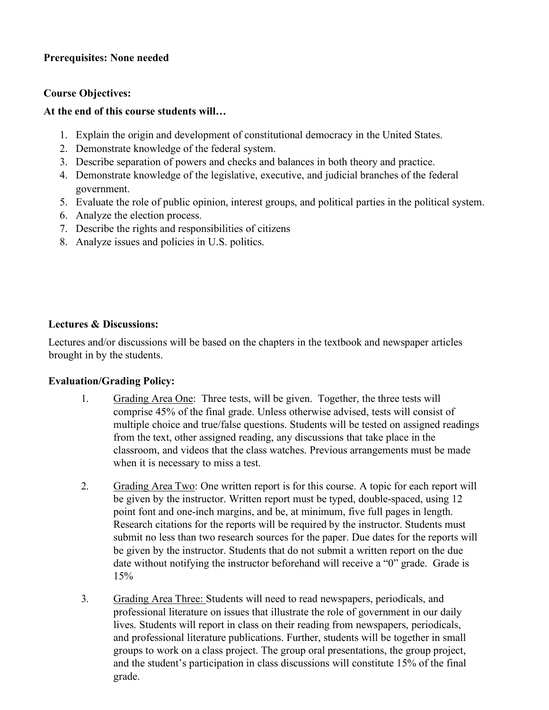## **Prerequisites: None needed**

#### **Course Objectives:**

## **At the end of this course students will…**

- 1. Explain the origin and development of constitutional democracy in the United States.
- 2. Demonstrate knowledge of the federal system.
- 3. Describe separation of powers and checks and balances in both theory and practice.
- 4. Demonstrate knowledge of the legislative, executive, and judicial branches of the federal government.
- 5. Evaluate the role of public opinion, interest groups, and political parties in the political system.
- 6. Analyze the election process.
- 7. Describe the rights and responsibilities of citizens
- 8. Analyze issues and policies in U.S. politics.

#### **Lectures & Discussions:**

Lectures and/or discussions will be based on the chapters in the textbook and newspaper articles brought in by the students.

#### **Evaluation/Grading Policy:**

- 1. Grading Area One: Three tests, will be given. Together, the three tests will comprise 45% of the final grade. Unless otherwise advised, tests will consist of multiple choice and true/false questions. Students will be tested on assigned readings from the text, other assigned reading, any discussions that take place in the classroom, and videos that the class watches. Previous arrangements must be made when it is necessary to miss a test.
- 2. Grading Area Two: One written report is for this course. A topic for each report will be given by the instructor. Written report must be typed, double-spaced, using 12 point font and one-inch margins, and be, at minimum, five full pages in length. Research citations for the reports will be required by the instructor. Students must submit no less than two research sources for the paper. Due dates for the reports will be given by the instructor. Students that do not submit a written report on the due date without notifying the instructor beforehand will receive a "0" grade. Grade is 15%
- 3. Grading Area Three: Students will need to read newspapers, periodicals, and professional literature on issues that illustrate the role of government in our daily lives. Students will report in class on their reading from newspapers, periodicals, and professional literature publications. Further, students will be together in small groups to work on a class project. The group oral presentations, the group project, and the student's participation in class discussions will constitute 15% of the final grade.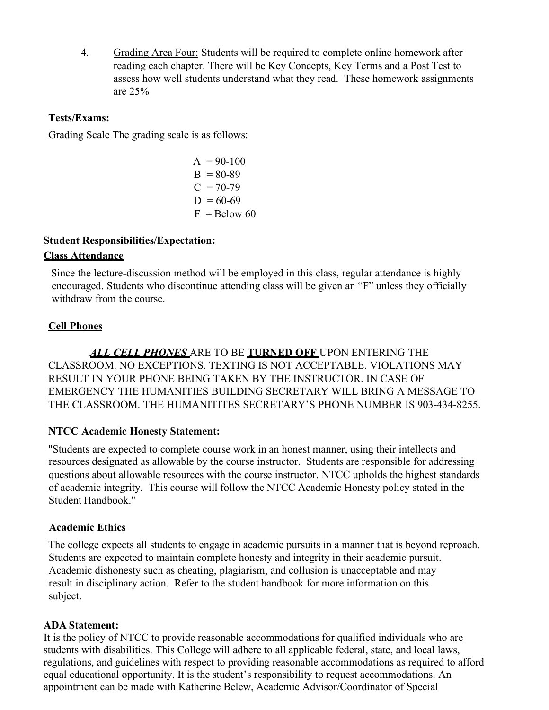4. Grading Area Four: Students will be required to complete online homework after reading each chapter. There will be Key Concepts, Key Terms and a Post Test to assess how well students understand what they read. These homework assignments are 25%

#### **Tests/Exams:**

Grading Scale The grading scale is as follows:

$$
A = 90-100\nB = 80-89\nC = 70-79\nD = 60-69\nF = Below 60
$$

#### **Student Responsibilities/Expectation:**

#### **Class Attendance**

Since the lecture-discussion method will be employed in this class, regular attendance is highly encouraged. Students who discontinue attending class will be given an "F" unless they officially withdraw from the course.

#### **Cell Phones**

*ALL CELL PHONES* ARE TO BE **TURNED OFF** UPON ENTERING THE CLASSROOM. NO EXCEPTIONS. TEXTING IS NOT ACCEPTABLE. VIOLATIONS MAY RESULT IN YOUR PHONE BEING TAKEN BY THE INSTRUCTOR. IN CASE OF EMERGENCY THE HUMANITIES BUILDING SECRETARY WILL BRING A MESSAGE TO THE CLASSROOM. THE HUMANITITES SECRETARY'S PHONE NUMBER IS 903-434-8255.

#### **NTCC Academic Honesty Statement:**

"Students are expected to complete course work in an honest manner, using their intellects and resources designated as allowable by the course instructor. Students are responsible for addressing questions about allowable resources with the course instructor. NTCC upholds the highest standards of academic integrity. This course will follow the NTCC Academic Honesty policy stated in the Student Handbook."

#### **Academic Ethics**

The college expects all students to engage in academic pursuits in a manner that is beyond reproach. Students are expected to maintain complete honesty and integrity in their academic pursuit. Academic dishonesty such as cheating, plagiarism, and collusion is unacceptable and may result in disciplinary action. Refer to the student handbook for more information on this subject.

#### **ADA Statement:**

It is the policy of NTCC to provide reasonable accommodations for qualified individuals who are students with disabilities. This College will adhere to all applicable federal, state, and local laws, regulations, and guidelines with respect to providing reasonable accommodations as required to afford equal educational opportunity. It is the student's responsibility to request accommodations. An appointment can be made with Katherine Belew, Academic Advisor/Coordinator of Special